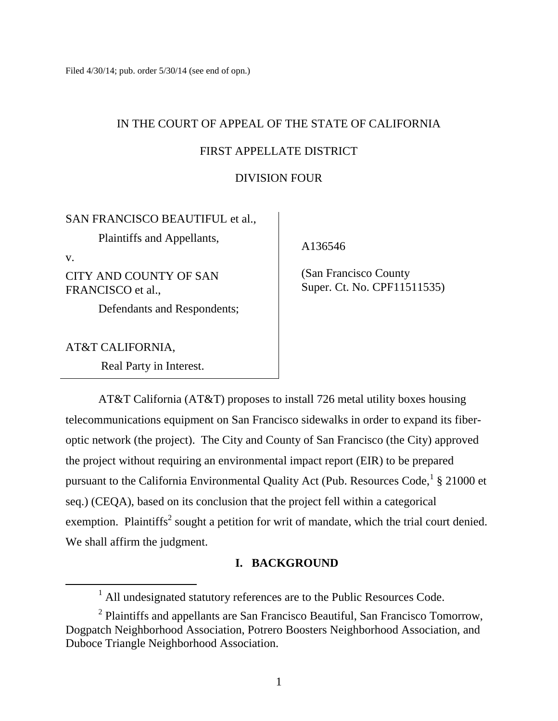# IN THE COURT OF APPEAL OF THE STATE OF CALIFORNIA

## FIRST APPELLATE DISTRICT

## DIVISION FOUR

## SAN FRANCISCO BEAUTIFUL et al.,

Plaintiffs and Appellants,

v.

CITY AND COUNTY OF SAN FRANCISCO et al.,

Defendants and Respondents;

AT&T CALIFORNIA,

Real Party in Interest.

A136546

 (San Francisco County Super. Ct. No. CPF11511535)

AT&T California (AT&T) proposes to install 726 metal utility boxes housing telecommunications equipment on San Francisco sidewalks in order to expand its fiberoptic network (the project). The City and County of San Francisco (the City) approved the project without requiring an environmental impact report (EIR) to be prepared pursuant to the California Environmental Quality Act (Pub. Resources Code, <sup>1</sup> § 21000 et seq.) (CEQA), based on its conclusion that the project fell within a categorical exemption. Plaintiffs<sup>2</sup> sought a petition for writ of mandate, which the trial court denied. We shall affirm the judgment.

## **I. BACKGROUND**

 $<sup>1</sup>$  All undesignated statutory references are to the Public Resources Code.</sup>

 $2$  Plaintiffs and appellants are San Francisco Beautiful, San Francisco Tomorrow, Dogpatch Neighborhood Association, Potrero Boosters Neighborhood Association, and Duboce Triangle Neighborhood Association.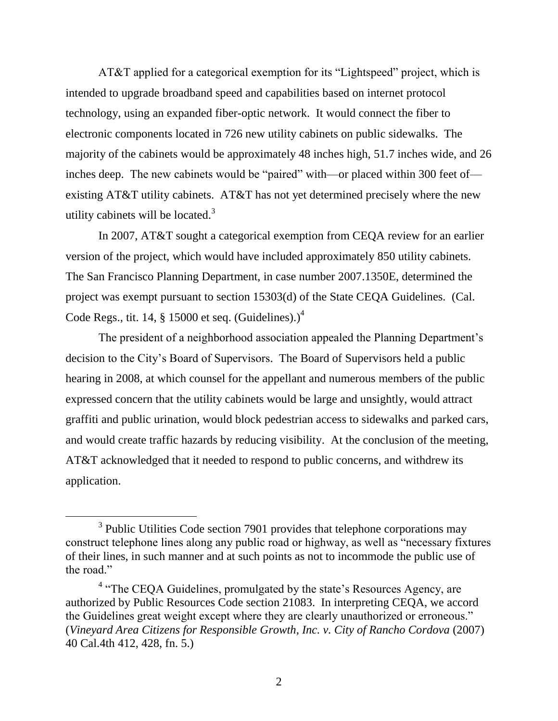AT&T applied for a categorical exemption for its "Lightspeed" project, which is intended to upgrade broadband speed and capabilities based on internet protocol technology, using an expanded fiber-optic network. It would connect the fiber to electronic components located in 726 new utility cabinets on public sidewalks. The majority of the cabinets would be approximately 48 inches high, 51.7 inches wide, and 26 inches deep. The new cabinets would be "paired" with—or placed within 300 feet of existing AT&T utility cabinets. AT&T has not yet determined precisely where the new utility cabinets will be located.<sup>3</sup>

In 2007, AT&T sought a categorical exemption from CEQA review for an earlier version of the project, which would have included approximately 850 utility cabinets. The San Francisco Planning Department, in case number 2007.1350E, determined the project was exempt pursuant to section 15303(d) of the State CEQA Guidelines. (Cal. Code Regs., tit. 14, § 15000 et seq. (Guidelines).) $<sup>4</sup>$ </sup>

The president of a neighborhood association appealed the Planning Department's decision to the City's Board of Supervisors. The Board of Supervisors held a public hearing in 2008, at which counsel for the appellant and numerous members of the public expressed concern that the utility cabinets would be large and unsightly, would attract graffiti and public urination, would block pedestrian access to sidewalks and parked cars, and would create traffic hazards by reducing visibility. At the conclusion of the meeting, AT&T acknowledged that it needed to respond to public concerns, and withdrew its application.

 $\overline{a}$ 

<sup>&</sup>lt;sup>3</sup> Public Utilities Code section 7901 provides that telephone corporations may construct telephone lines along any public road or highway, as well as "necessary fixtures of their lines, in such manner and at such points as not to incommode the public use of the road."

<sup>&</sup>lt;sup>4</sup> "The CEQA Guidelines, promulgated by the state's Resources Agency, are authorized by Public Resources Code section 21083. In interpreting CEQA, we accord the Guidelines great weight except where they are clearly unauthorized or erroneous." (*Vineyard Area Citizens for Responsible Growth, Inc. v. City of Rancho Cordova* (2007) 40 Cal.4th 412, 428, fn. 5.)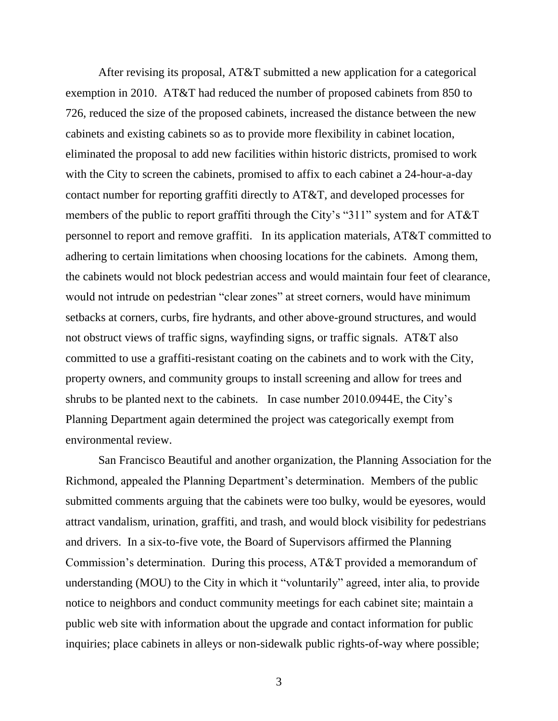After revising its proposal, AT&T submitted a new application for a categorical exemption in 2010. AT&T had reduced the number of proposed cabinets from 850 to 726, reduced the size of the proposed cabinets, increased the distance between the new cabinets and existing cabinets so as to provide more flexibility in cabinet location, eliminated the proposal to add new facilities within historic districts, promised to work with the City to screen the cabinets, promised to affix to each cabinet a 24-hour-a-day contact number for reporting graffiti directly to AT&T, and developed processes for members of the public to report graffiti through the City's "311" system and for AT&T personnel to report and remove graffiti. In its application materials, AT&T committed to adhering to certain limitations when choosing locations for the cabinets. Among them, the cabinets would not block pedestrian access and would maintain four feet of clearance, would not intrude on pedestrian "clear zones" at street corners, would have minimum setbacks at corners, curbs, fire hydrants, and other above-ground structures, and would not obstruct views of traffic signs, wayfinding signs, or traffic signals. AT&T also committed to use a graffiti-resistant coating on the cabinets and to work with the City, property owners, and community groups to install screening and allow for trees and shrubs to be planted next to the cabinets. In case number 2010.0944E, the City's Planning Department again determined the project was categorically exempt from environmental review.

San Francisco Beautiful and another organization, the Planning Association for the Richmond, appealed the Planning Department's determination. Members of the public submitted comments arguing that the cabinets were too bulky, would be eyesores, would attract vandalism, urination, graffiti, and trash, and would block visibility for pedestrians and drivers. In a six-to-five vote, the Board of Supervisors affirmed the Planning Commission's determination. During this process, AT&T provided a memorandum of understanding (MOU) to the City in which it "voluntarily" agreed, inter alia, to provide notice to neighbors and conduct community meetings for each cabinet site; maintain a public web site with information about the upgrade and contact information for public inquiries; place cabinets in alleys or non-sidewalk public rights-of-way where possible;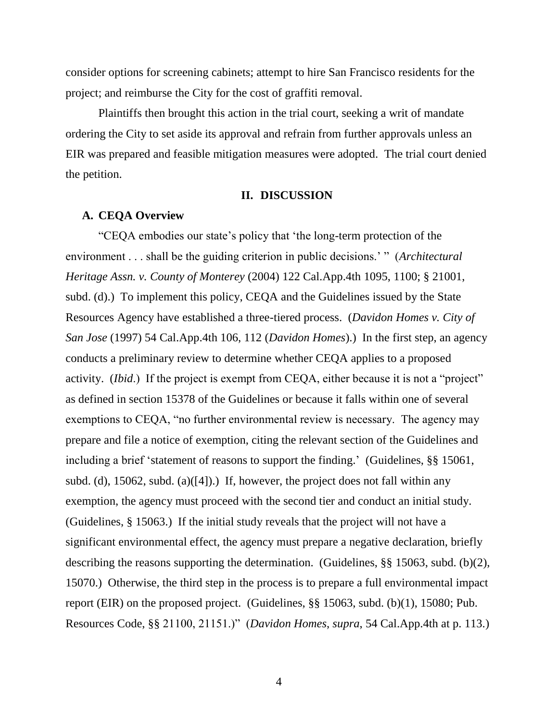consider options for screening cabinets; attempt to hire San Francisco residents for the project; and reimburse the City for the cost of graffiti removal.

Plaintiffs then brought this action in the trial court, seeking a writ of mandate ordering the City to set aside its approval and refrain from further approvals unless an EIR was prepared and feasible mitigation measures were adopted. The trial court denied the petition.

#### **II. DISCUSSION**

#### **A. CEQA Overview**

"CEQA embodies our state's policy that 'the long-term protection of the environment . . . shall be the guiding criterion in public decisions.' " (*Architectural Heritage Assn. v. County of Monterey* (2004) 122 Cal.App.4th 1095, 1100; § 21001, subd. (d).) To implement this policy, CEQA and the Guidelines issued by the State Resources Agency have established a three-tiered process. (*Davidon Homes v. City of San Jose* (1997) 54 Cal.App.4th 106, 112 (*Davidon Homes*).) In the first step, an agency conducts a preliminary review to determine whether CEQA applies to a proposed activity. (*Ibid*.) If the project is exempt from CEQA, either because it is not a "project" as defined in section 15378 of the Guidelines or because it falls within one of several exemptions to CEQA, "no further environmental review is necessary. The agency may prepare and file a notice of exemption, citing the relevant section of the Guidelines and including a brief 'statement of reasons to support the finding.' (Guidelines, §§ 15061, subd. (d), 15062, subd. (a)( $[4]$ ).) If, however, the project does not fall within any exemption, the agency must proceed with the second tier and conduct an initial study. (Guidelines, § 15063.) If the initial study reveals that the project will not have a significant environmental effect, the agency must prepare a negative declaration, briefly describing the reasons supporting the determination. (Guidelines, §§ 15063, subd. (b)(2), 15070.) Otherwise, the third step in the process is to prepare a full environmental impact report (EIR) on the proposed project. (Guidelines, §§ 15063, subd. (b)(1), 15080; Pub. Resources Code, §§ 21100, 21151.)" (*Davidon Homes*, *supra*, 54 Cal.App.4th at p. 113.)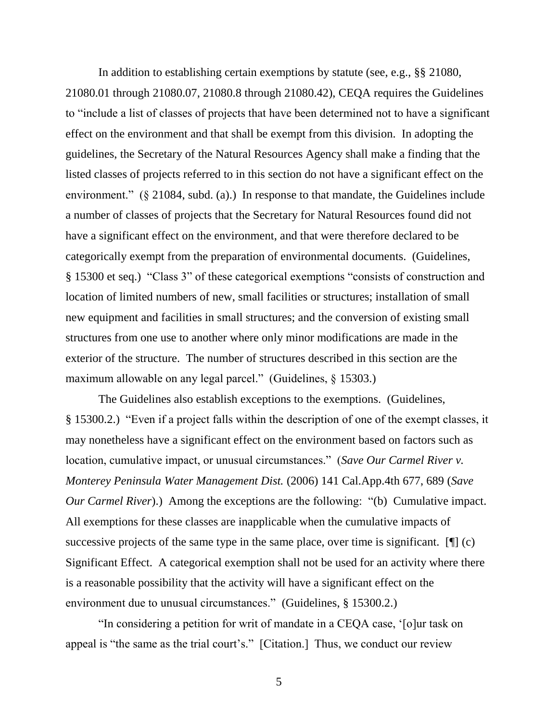In addition to establishing certain exemptions by statute (see, e.g., §§ 21080, 21080.01 through 21080.07, 21080.8 through 21080.42), CEQA requires the Guidelines to "include a list of classes of projects that have been determined not to have a significant effect on the environment and that shall be exempt from this division. In adopting the guidelines, the Secretary of the Natural Resources Agency shall make a finding that the listed classes of projects referred to in this section do not have a significant effect on the environment." (§ 21084, subd. (a).) In response to that mandate, the Guidelines include a number of classes of projects that the Secretary for Natural Resources found did not have a significant effect on the environment, and that were therefore declared to be categorically exempt from the preparation of environmental documents. (Guidelines, § 15300 et seq.) "Class 3" of these categorical exemptions "consists of construction and location of limited numbers of new, small facilities or structures; installation of small new equipment and facilities in small structures; and the conversion of existing small structures from one use to another where only minor modifications are made in the exterior of the structure. The number of structures described in this section are the maximum allowable on any legal parcel." (Guidelines, § 15303.)

The Guidelines also establish exceptions to the exemptions. (Guidelines, § 15300.2.) "Even if a project falls within the description of one of the exempt classes, it may nonetheless have a significant effect on the environment based on factors such as location, cumulative impact, or unusual circumstances." (*Save Our Carmel River v. Monterey Peninsula Water Management Dist.* (2006) 141 Cal.App.4th 677, 689 (*Save Our Carmel River*).) Among the exceptions are the following: "(b) Cumulative impact. All exemptions for these classes are inapplicable when the cumulative impacts of successive projects of the same type in the same place, over time is significant. [II] (c) Significant Effect. A categorical exemption shall not be used for an activity where there is a reasonable possibility that the activity will have a significant effect on the environment due to unusual circumstances." (Guidelines, § 15300.2.)

"In considering a petition for writ of mandate in a CEQA case, '[o]ur task on appeal is "the same as the trial court's." [Citation.] Thus, we conduct our review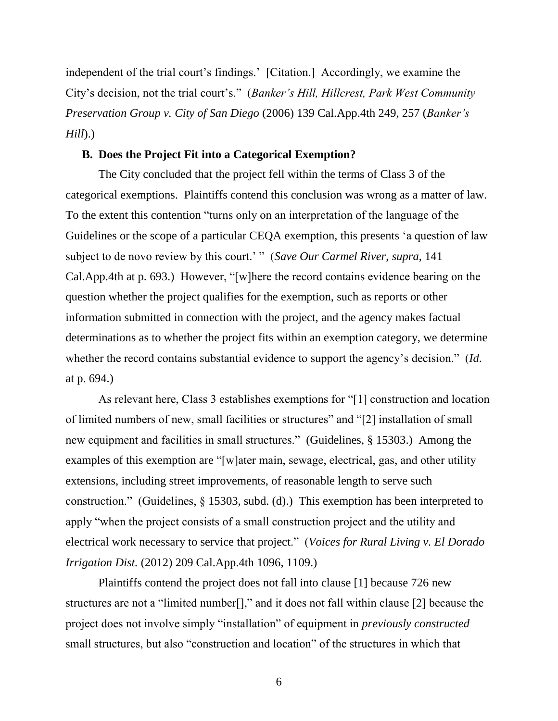independent of the trial court's findings.' [Citation.] Accordingly, we examine the City's decision, not the trial court's." (*Banker's Hill, Hillcrest, Park West Community Preservation Group v. City of San Diego* (2006) 139 Cal.App.4th 249, 257 (*Banker's Hill*).)

#### **B. Does the Project Fit into a Categorical Exemption?**

The City concluded that the project fell within the terms of Class 3 of the categorical exemptions. Plaintiffs contend this conclusion was wrong as a matter of law. To the extent this contention "turns only on an interpretation of the language of the Guidelines or the scope of a particular CEQA exemption, this presents 'a question of law subject to de novo review by this court.' " (*Save Our Carmel River*, *supra*, 141 Cal.App.4th at p. 693.) However, "[w]here the record contains evidence bearing on the question whether the project qualifies for the exemption, such as reports or other information submitted in connection with the project, and the agency makes factual determinations as to whether the project fits within an exemption category, we determine whether the record contains substantial evidence to support the agency's decision." (*Id*. at p. 694.)

As relevant here, Class 3 establishes exemptions for "[1] construction and location of limited numbers of new, small facilities or structures" and "[2] installation of small new equipment and facilities in small structures." (Guidelines, § 15303.) Among the examples of this exemption are "[w]ater main, sewage, electrical, gas, and other utility extensions, including street improvements, of reasonable length to serve such construction." (Guidelines, § 15303, subd. (d).) This exemption has been interpreted to apply "when the project consists of a small construction project and the utility and electrical work necessary to service that project." (*Voices for Rural Living v. El Dorado Irrigation Dist.* (2012) 209 Cal.App.4th 1096, 1109.)

Plaintiffs contend the project does not fall into clause [1] because 726 new structures are not a "limited number[]," and it does not fall within clause [2] because the project does not involve simply "installation" of equipment in *previously constructed* small structures, but also "construction and location" of the structures in which that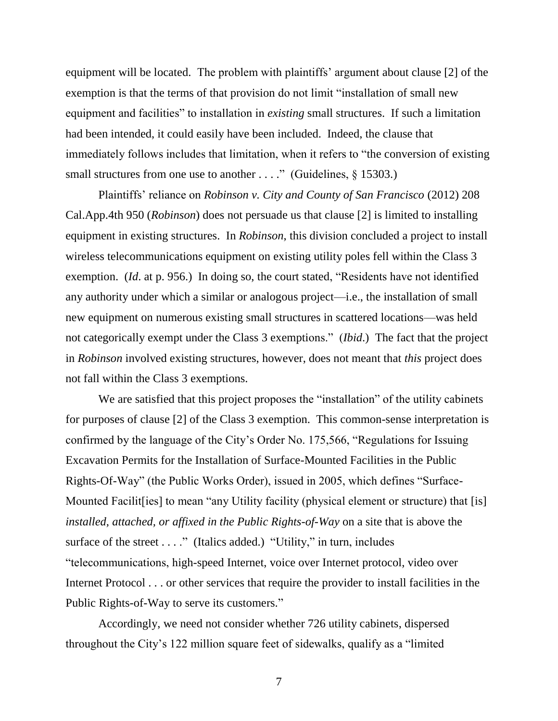equipment will be located. The problem with plaintiffs' argument about clause [2] of the exemption is that the terms of that provision do not limit "installation of small new equipment and facilities" to installation in *existing* small structures. If such a limitation had been intended, it could easily have been included. Indeed, the clause that immediately follows includes that limitation, when it refers to "the conversion of existing small structures from one use to another . . . ." (Guidelines, § 15303.)

Plaintiffs' reliance on *Robinson v. City and County of San Francisco* (2012) 208 Cal.App.4th 950 (*Robinson*) does not persuade us that clause [2] is limited to installing equipment in existing structures. In *Robinson*, this division concluded a project to install wireless telecommunications equipment on existing utility poles fell within the Class 3 exemption. (*Id*. at p. 956.) In doing so, the court stated, "Residents have not identified any authority under which a similar or analogous project—i.e., the installation of small new equipment on numerous existing small structures in scattered locations—was held not categorically exempt under the Class 3 exemptions." (*Ibid*.) The fact that the project in *Robinson* involved existing structures, however, does not meant that *this* project does not fall within the Class 3 exemptions.

We are satisfied that this project proposes the "installation" of the utility cabinets for purposes of clause [2] of the Class 3 exemption. This common-sense interpretation is confirmed by the language of the City's Order No. 175,566, "Regulations for Issuing Excavation Permits for the Installation of Surface-Mounted Facilities in the Public Rights-Of-Way" (the Public Works Order), issued in 2005, which defines "Surface-Mounted Facilit [ies] to mean "any Utility facility (physical element or structure) that [is] *installed, attached, or affixed in the Public Rights-of-Way* on a site that is above the surface of the street . . . ." (Italics added.) "Utility," in turn, includes "telecommunications, high-speed Internet, voice over Internet protocol, video over Internet Protocol . . . or other services that require the provider to install facilities in the Public Rights-of-Way to serve its customers."

Accordingly, we need not consider whether 726 utility cabinets, dispersed throughout the City's 122 million square feet of sidewalks, qualify as a "limited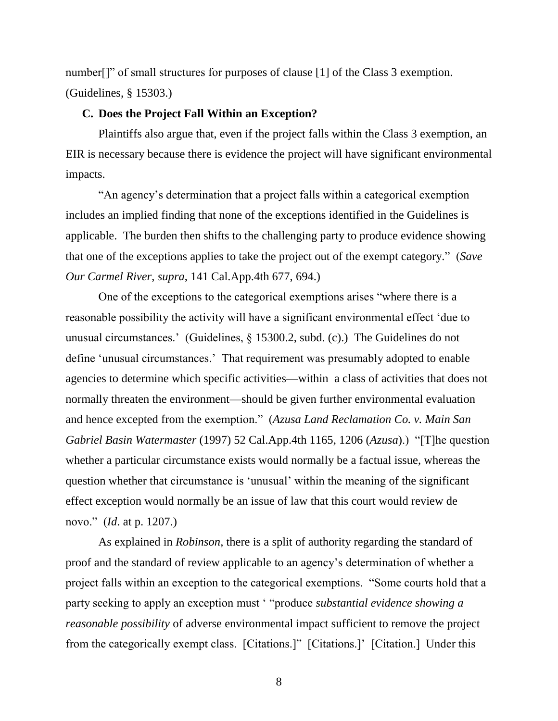number<sup>[]"</sup> of small structures for purposes of clause [1] of the Class 3 exemption. (Guidelines, § 15303.)

#### **C. Does the Project Fall Within an Exception?**

Plaintiffs also argue that, even if the project falls within the Class 3 exemption, an EIR is necessary because there is evidence the project will have significant environmental impacts.

"An agency's determination that a project falls within a categorical exemption includes an implied finding that none of the exceptions identified in the Guidelines is applicable. The burden then shifts to the challenging party to produce evidence showing that one of the exceptions applies to take the project out of the exempt category." (*Save Our Carmel River*, *supra*, 141 Cal.App.4th 677, 694.)

One of the exceptions to the categorical exemptions arises "where there is a reasonable possibility the activity will have a significant environmental effect 'due to unusual circumstances.' (Guidelines, § 15300.2, subd. (c).) The Guidelines do not define 'unusual circumstances.' That requirement was presumably adopted to enable agencies to determine which specific activities—within a class of activities that does not normally threaten the environment—should be given further environmental evaluation and hence excepted from the exemption." (*Azusa Land Reclamation Co. v. Main San Gabriel Basin Watermaster* (1997) 52 Cal.App.4th 1165, 1206 (*Azusa*).) "[T]he question whether a particular circumstance exists would normally be a factual issue, whereas the question whether that circumstance is 'unusual' within the meaning of the significant effect exception would normally be an issue of law that this court would review de novo." (*Id*. at p. 1207.)

As explained in *Robinson*, there is a split of authority regarding the standard of proof and the standard of review applicable to an agency's determination of whether a project falls within an exception to the categorical exemptions. "Some courts hold that a party seeking to apply an exception must ' "produce *substantial evidence showing a reasonable possibility* of adverse environmental impact sufficient to remove the project from the categorically exempt class. [Citations.]" [Citations.]' [Citation.] Under this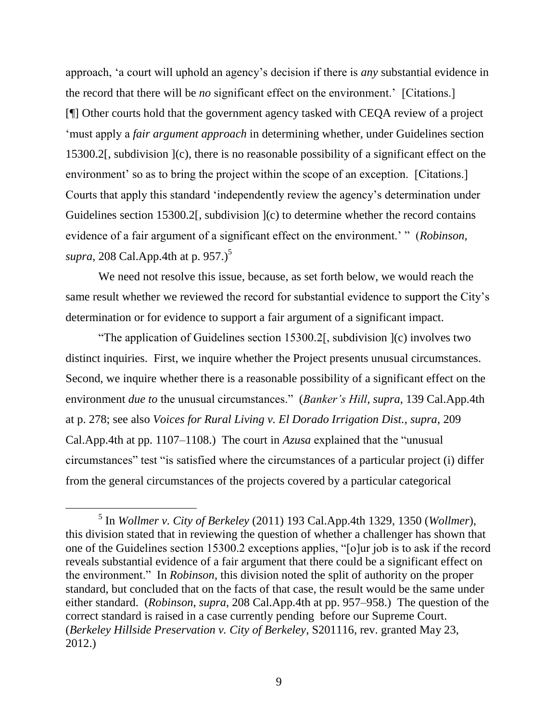approach, 'a court will uphold an agency's decision if there is *any* substantial evidence in the record that there will be *no* significant effect on the environment.' [Citations.] [¶] Other courts hold that the government agency tasked with CEQA review of a project 'must apply a *fair argument approach* in determining whether, under Guidelines section 15300.2[, subdivision ](c), there is no reasonable possibility of a significant effect on the environment' so as to bring the project within the scope of an exception. [Citations.] Courts that apply this standard 'independently review the agency's determination under Guidelines section 15300.2. subdivision  $(c)$  to determine whether the record contains evidence of a fair argument of a significant effect on the environment.' " (*Robinson*, *supra*, 208 Cal.App.4th at p. 957.)<sup>5</sup>

We need not resolve this issue, because, as set forth below, we would reach the same result whether we reviewed the record for substantial evidence to support the City's determination or for evidence to support a fair argument of a significant impact.

"The application of Guidelines section 15300.2[, subdivision ](c) involves two distinct inquiries. First, we inquire whether the Project presents unusual circumstances. Second, we inquire whether there is a reasonable possibility of a significant effect on the environment *due to* the unusual circumstances." (*Banker's Hill*, *supra*, 139 Cal.App.4th at p. 278; see also *Voices for Rural Living v. El Dorado Irrigation Dist.*, *supra*, 209 Cal.App.4th at pp. 1107–1108.) The court in *Azusa* explained that the "unusual circumstances" test "is satisfied where the circumstances of a particular project (i) differ from the general circumstances of the projects covered by a particular categorical

 $\overline{a}$ 

<sup>5</sup> In *Wollmer v. City of Berkeley* (2011) 193 Cal.App.4th 1329, 1350 (*Wollmer*), this division stated that in reviewing the question of whether a challenger has shown that one of the Guidelines section 15300.2 exceptions applies, "[o]ur job is to ask if the record reveals substantial evidence of a fair argument that there could be a significant effect on the environment." In *Robinson*, this division noted the split of authority on the proper standard, but concluded that on the facts of that case, the result would be the same under either standard. (*Robinson*, *supra*, 208 Cal.App.4th at pp. 957–958.) The question of the correct standard is raised in a case currently pending before our Supreme Court. (*Berkeley Hillside Preservation v. City of Berkeley*, S201116, rev. granted May 23, 2012.)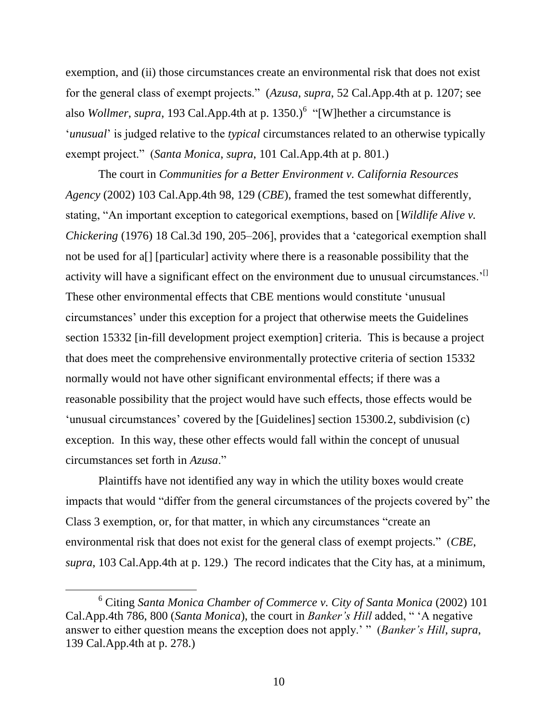exemption, and (ii) those circumstances create an environmental risk that does not exist for the general class of exempt projects." (*Azusa*, *supra*, 52 Cal.App.4th at p. 1207; see also *Wollmer*, *supra*, 193 Cal.App.4th at p. 1350.)<sup>6</sup> "[W]hether a circumstance is '*unusual*' is judged relative to the *typical* circumstances related to an otherwise typically exempt project." (*Santa Monica*, *supra*, 101 Cal.App.4th at p. 801.)

The court in *Communities for a Better Environment v. California Resources Agency* (2002) 103 Cal.App.4th 98, 129 (*CBE*), framed the test somewhat differently, stating, "An important exception to categorical exemptions, based on [*Wildlife Alive v. Chickering* (1976) 18 Cal.3d 190, 205–206], provides that a 'categorical exemption shall not be used for a[] [particular] activity where there is a reasonable possibility that the activity will have a significant effect on the environment due to unusual circumstances.<sup>'[]</sup> These other environmental effects that CBE mentions would constitute 'unusual circumstances' under this exception for a project that otherwise meets the Guidelines section 15332 [in-fill development project exemption] criteria. This is because a project that does meet the comprehensive environmentally protective criteria of section 15332 normally would not have other significant environmental effects; if there was a reasonable possibility that the project would have such effects, those effects would be 'unusual circumstances' covered by the [Guidelines] section 15300.2, subdivision (c) exception. In this way, these other effects would fall within the concept of unusual circumstances set forth in *Azusa*."

Plaintiffs have not identified any way in which the utility boxes would create impacts that would "differ from the general circumstances of the projects covered by" the Class 3 exemption, or, for that matter, in which any circumstances "create an environmental risk that does not exist for the general class of exempt projects." (*CBE*, *supra*, 103 Cal.App.4th at p. 129.) The record indicates that the City has, at a minimum,

<sup>6</sup> Citing *Santa Monica Chamber of Commerce v. City of Santa Monica* (2002) 101 Cal.App.4th 786, 800 (*Santa Monica*), the court in *Banker's Hill* added, " 'A negative answer to either question means the exception does not apply.' " (*Banker's Hill*, *supra*, 139 Cal.App.4th at p. 278.)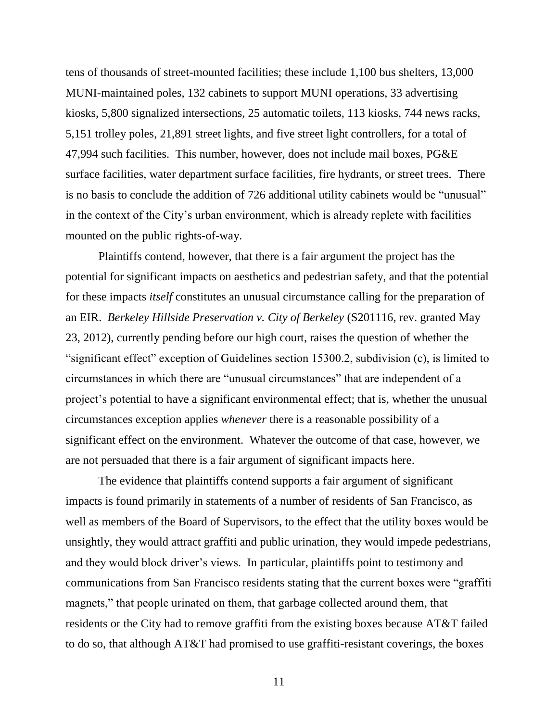tens of thousands of street-mounted facilities; these include 1,100 bus shelters, 13,000 MUNI-maintained poles, 132 cabinets to support MUNI operations, 33 advertising kiosks, 5,800 signalized intersections, 25 automatic toilets, 113 kiosks, 744 news racks, 5,151 trolley poles, 21,891 street lights, and five street light controllers, for a total of 47,994 such facilities. This number, however, does not include mail boxes, PG&E surface facilities, water department surface facilities, fire hydrants, or street trees. There is no basis to conclude the addition of 726 additional utility cabinets would be "unusual" in the context of the City's urban environment, which is already replete with facilities mounted on the public rights-of-way.

Plaintiffs contend, however, that there is a fair argument the project has the potential for significant impacts on aesthetics and pedestrian safety, and that the potential for these impacts *itself* constitutes an unusual circumstance calling for the preparation of an EIR. *Berkeley Hillside Preservation v. City of Berkeley* (S201116, rev. granted May 23, 2012), currently pending before our high court, raises the question of whether the "significant effect" exception of Guidelines section 15300.2, subdivision (c), is limited to circumstances in which there are "unusual circumstances" that are independent of a project's potential to have a significant environmental effect; that is, whether the unusual circumstances exception applies *whenever* there is a reasonable possibility of a significant effect on the environment. Whatever the outcome of that case, however, we are not persuaded that there is a fair argument of significant impacts here.

The evidence that plaintiffs contend supports a fair argument of significant impacts is found primarily in statements of a number of residents of San Francisco, as well as members of the Board of Supervisors, to the effect that the utility boxes would be unsightly, they would attract graffiti and public urination, they would impede pedestrians, and they would block driver's views. In particular, plaintiffs point to testimony and communications from San Francisco residents stating that the current boxes were "graffiti magnets," that people urinated on them, that garbage collected around them, that residents or the City had to remove graffiti from the existing boxes because AT&T failed to do so, that although AT&T had promised to use graffiti-resistant coverings, the boxes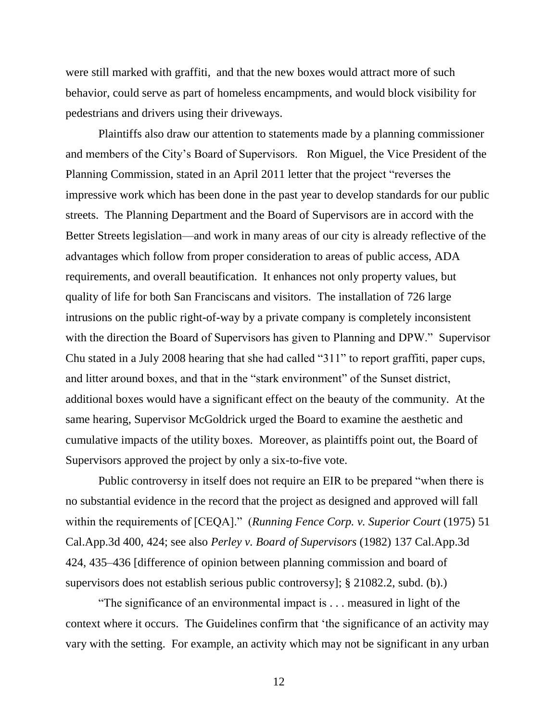were still marked with graffiti, and that the new boxes would attract more of such behavior, could serve as part of homeless encampments, and would block visibility for pedestrians and drivers using their driveways.

Plaintiffs also draw our attention to statements made by a planning commissioner and members of the City's Board of Supervisors. Ron Miguel, the Vice President of the Planning Commission, stated in an April 2011 letter that the project "reverses the impressive work which has been done in the past year to develop standards for our public streets. The Planning Department and the Board of Supervisors are in accord with the Better Streets legislation—and work in many areas of our city is already reflective of the advantages which follow from proper consideration to areas of public access, ADA requirements, and overall beautification. It enhances not only property values, but quality of life for both San Franciscans and visitors. The installation of 726 large intrusions on the public right-of-way by a private company is completely inconsistent with the direction the Board of Supervisors has given to Planning and DPW." Supervisor Chu stated in a July 2008 hearing that she had called "311" to report graffiti, paper cups, and litter around boxes, and that in the "stark environment" of the Sunset district, additional boxes would have a significant effect on the beauty of the community. At the same hearing, Supervisor McGoldrick urged the Board to examine the aesthetic and cumulative impacts of the utility boxes. Moreover, as plaintiffs point out, the Board of Supervisors approved the project by only a six-to-five vote.

Public controversy in itself does not require an EIR to be prepared "when there is no substantial evidence in the record that the project as designed and approved will fall within the requirements of [CEQA]." (*Running Fence Corp. v. Superior Court* (1975) 51 Cal.App.3d 400, 424; see also *Perley v. Board of Supervisors* (1982) 137 Cal.App.3d 424, 435–436 [difference of opinion between planning commission and board of supervisors does not establish serious public controversy]; § 21082.2, subd. (b).)

"The significance of an environmental impact is . . . measured in light of the context where it occurs. The Guidelines confirm that 'the significance of an activity may vary with the setting. For example, an activity which may not be significant in any urban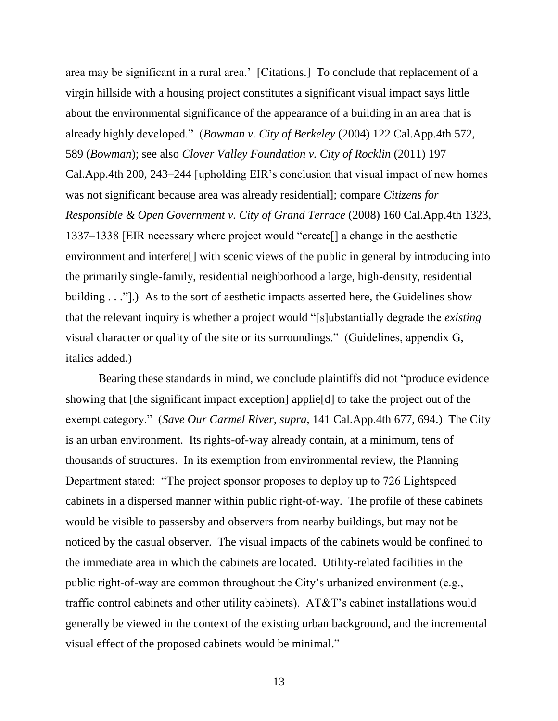area may be significant in a rural area.' [Citations.] To conclude that replacement of a virgin hillside with a housing project constitutes a significant visual impact says little about the environmental significance of the appearance of a building in an area that is already highly developed." (*Bowman v. City of Berkeley* (2004) 122 Cal.App.4th 572, 589 (*Bowman*); see also *Clover Valley Foundation v. City of Rocklin* (2011) 197 Cal.App.4th 200, 243–244 [upholding EIR's conclusion that visual impact of new homes was not significant because area was already residential]; compare *Citizens for Responsible & Open Government v. City of Grand Terrace* (2008) 160 Cal.App.4th 1323, 1337–1338 [EIR necessary where project would "create[] a change in the aesthetic environment and interfere[] with scenic views of the public in general by introducing into the primarily single-family, residential neighborhood a large, high-density, residential building . . ."].) As to the sort of aesthetic impacts asserted here, the Guidelines show that the relevant inquiry is whether a project would "[s]ubstantially degrade the *existing* visual character or quality of the site or its surroundings." (Guidelines, appendix G, italics added.)

Bearing these standards in mind, we conclude plaintiffs did not "produce evidence showing that [the significant impact exception] applie[d] to take the project out of the exempt category." (*Save Our Carmel River*, *supra*, 141 Cal.App.4th 677, 694.) The City is an urban environment. Its rights-of-way already contain, at a minimum, tens of thousands of structures. In its exemption from environmental review, the Planning Department stated: "The project sponsor proposes to deploy up to 726 Lightspeed cabinets in a dispersed manner within public right-of-way. The profile of these cabinets would be visible to passersby and observers from nearby buildings, but may not be noticed by the casual observer. The visual impacts of the cabinets would be confined to the immediate area in which the cabinets are located. Utility-related facilities in the public right-of-way are common throughout the City's urbanized environment (e.g., traffic control cabinets and other utility cabinets). AT&T's cabinet installations would generally be viewed in the context of the existing urban background, and the incremental visual effect of the proposed cabinets would be minimal."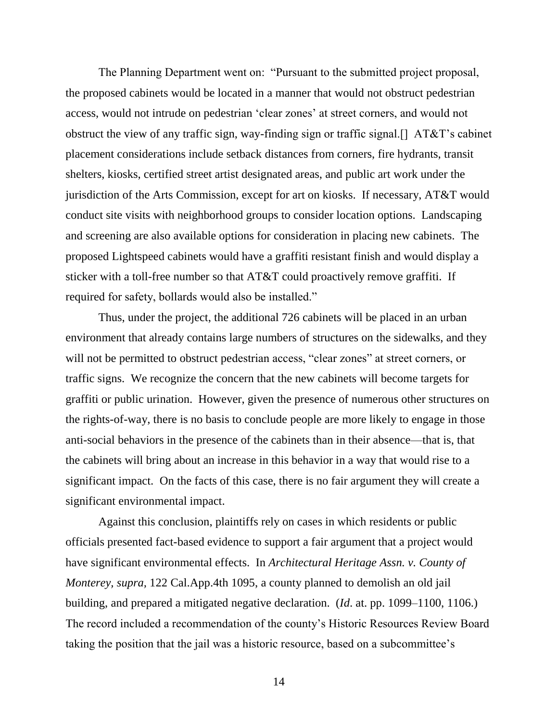The Planning Department went on: "Pursuant to the submitted project proposal, the proposed cabinets would be located in a manner that would not obstruct pedestrian access, would not intrude on pedestrian 'clear zones' at street corners, and would not obstruct the view of any traffic sign, way-finding sign or traffic signal.[] AT&T's cabinet placement considerations include setback distances from corners, fire hydrants, transit shelters, kiosks, certified street artist designated areas, and public art work under the jurisdiction of the Arts Commission, except for art on kiosks. If necessary, AT&T would conduct site visits with neighborhood groups to consider location options. Landscaping and screening are also available options for consideration in placing new cabinets. The proposed Lightspeed cabinets would have a graffiti resistant finish and would display a sticker with a toll-free number so that AT&T could proactively remove graffiti. If required for safety, bollards would also be installed."

Thus, under the project, the additional 726 cabinets will be placed in an urban environment that already contains large numbers of structures on the sidewalks, and they will not be permitted to obstruct pedestrian access, "clear zones" at street corners, or traffic signs. We recognize the concern that the new cabinets will become targets for graffiti or public urination. However, given the presence of numerous other structures on the rights-of-way, there is no basis to conclude people are more likely to engage in those anti-social behaviors in the presence of the cabinets than in their absence—that is, that the cabinets will bring about an increase in this behavior in a way that would rise to a significant impact. On the facts of this case, there is no fair argument they will create a significant environmental impact.

Against this conclusion, plaintiffs rely on cases in which residents or public officials presented fact-based evidence to support a fair argument that a project would have significant environmental effects. In *Architectural Heritage Assn. v. County of Monterey, supra,* 122 Cal.App.4th 1095, a county planned to demolish an old jail building, and prepared a mitigated negative declaration. (*Id*. at. pp. 1099–1100, 1106.) The record included a recommendation of the county's Historic Resources Review Board taking the position that the jail was a historic resource, based on a subcommittee's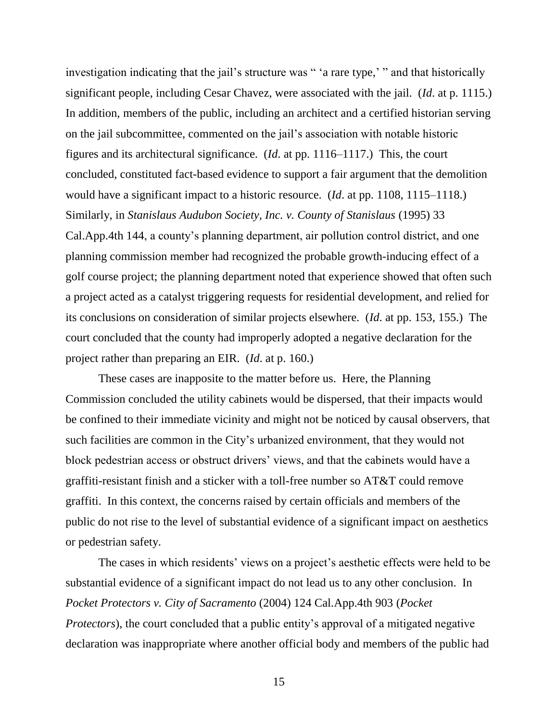investigation indicating that the jail's structure was " 'a rare type,' " and that historically significant people, including Cesar Chavez, were associated with the jail. (*Id*. at p. 1115.) In addition, members of the public, including an architect and a certified historian serving on the jail subcommittee, commented on the jail's association with notable historic figures and its architectural significance. (*Id*. at pp. 1116–1117.) This, the court concluded, constituted fact-based evidence to support a fair argument that the demolition would have a significant impact to a historic resource. (*Id*. at pp. 1108, 1115–1118.) Similarly, in *Stanislaus Audubon Society, Inc. v. County of Stanislaus* (1995) 33 Cal.App.4th 144, a county's planning department, air pollution control district, and one planning commission member had recognized the probable growth-inducing effect of a golf course project; the planning department noted that experience showed that often such a project acted as a catalyst triggering requests for residential development, and relied for its conclusions on consideration of similar projects elsewhere. (*Id*. at pp. 153, 155.) The court concluded that the county had improperly adopted a negative declaration for the project rather than preparing an EIR. (*Id*. at p. 160.)

These cases are inapposite to the matter before us. Here, the Planning Commission concluded the utility cabinets would be dispersed, that their impacts would be confined to their immediate vicinity and might not be noticed by causal observers, that such facilities are common in the City's urbanized environment, that they would not block pedestrian access or obstruct drivers' views, and that the cabinets would have a graffiti-resistant finish and a sticker with a toll-free number so AT&T could remove graffiti. In this context, the concerns raised by certain officials and members of the public do not rise to the level of substantial evidence of a significant impact on aesthetics or pedestrian safety.

The cases in which residents' views on a project's aesthetic effects were held to be substantial evidence of a significant impact do not lead us to any other conclusion. In *Pocket Protectors v. City of Sacramento* (2004) 124 Cal.App.4th 903 (*Pocket Protectors*), the court concluded that a public entity's approval of a mitigated negative declaration was inappropriate where another official body and members of the public had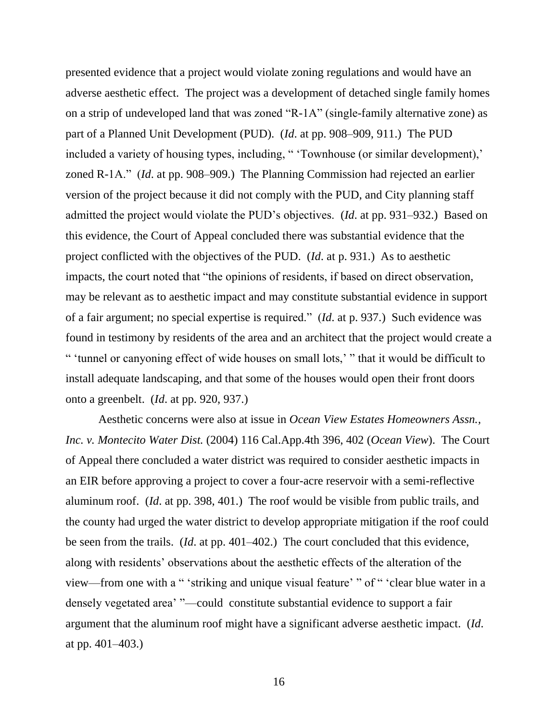presented evidence that a project would violate zoning regulations and would have an adverse aesthetic effect. The project was a development of detached single family homes on a strip of undeveloped land that was zoned "R-1A" (single-family alternative zone) as part of a Planned Unit Development (PUD). (*Id*. at pp. 908–909, 911.) The PUD included a variety of housing types, including, " 'Townhouse (or similar development),' zoned R-1A." (*Id*. at pp. 908–909.) The Planning Commission had rejected an earlier version of the project because it did not comply with the PUD, and City planning staff admitted the project would violate the PUD's objectives. (*Id*. at pp. 931–932.) Based on this evidence, the Court of Appeal concluded there was substantial evidence that the project conflicted with the objectives of the PUD. (*Id*. at p. 931.) As to aesthetic impacts, the court noted that "the opinions of residents, if based on direct observation, may be relevant as to aesthetic impact and may constitute substantial evidence in support of a fair argument; no special expertise is required." (*Id*. at p. 937.) Such evidence was found in testimony by residents of the area and an architect that the project would create a " 'tunnel or canyoning effect of wide houses on small lots,' " that it would be difficult to install adequate landscaping, and that some of the houses would open their front doors onto a greenbelt. (*Id*. at pp. 920, 937.)

Aesthetic concerns were also at issue in *Ocean View Estates Homeowners Assn., Inc. v. Montecito Water Dist.* (2004) 116 Cal.App.4th 396, 402 (*Ocean View*). The Court of Appeal there concluded a water district was required to consider aesthetic impacts in an EIR before approving a project to cover a four-acre reservoir with a semi-reflective aluminum roof. (*Id*. at pp. 398, 401.) The roof would be visible from public trails, and the county had urged the water district to develop appropriate mitigation if the roof could be seen from the trails. (*Id*. at pp. 401–402.) The court concluded that this evidence, along with residents' observations about the aesthetic effects of the alteration of the view—from one with a " 'striking and unique visual feature' " of " 'clear blue water in a densely vegetated area' "—could constitute substantial evidence to support a fair argument that the aluminum roof might have a significant adverse aesthetic impact. (*Id*. at pp. 401–403.)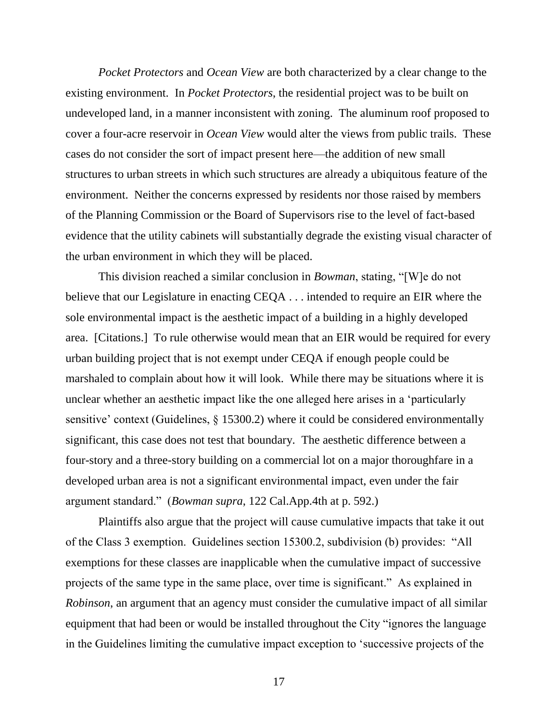*Pocket Protectors* and *Ocean View* are both characterized by a clear change to the existing environment. In *Pocket Protectors*, the residential project was to be built on undeveloped land, in a manner inconsistent with zoning. The aluminum roof proposed to cover a four-acre reservoir in *Ocean View* would alter the views from public trails. These cases do not consider the sort of impact present here—the addition of new small structures to urban streets in which such structures are already a ubiquitous feature of the environment. Neither the concerns expressed by residents nor those raised by members of the Planning Commission or the Board of Supervisors rise to the level of fact-based evidence that the utility cabinets will substantially degrade the existing visual character of the urban environment in which they will be placed.

This division reached a similar conclusion in *Bowman*, stating, "[W]e do not believe that our Legislature in enacting CEQA . . . intended to require an EIR where the sole environmental impact is the aesthetic impact of a building in a highly developed area. [Citations.] To rule otherwise would mean that an EIR would be required for every urban building project that is not exempt under CEQA if enough people could be marshaled to complain about how it will look. While there may be situations where it is unclear whether an aesthetic impact like the one alleged here arises in a 'particularly sensitive' context (Guidelines, § 15300.2) where it could be considered environmentally significant, this case does not test that boundary. The aesthetic difference between a four-story and a three-story building on a commercial lot on a major thoroughfare in a developed urban area is not a significant environmental impact, even under the fair argument standard." (*Bowman supra*, 122 Cal.App.4th at p. 592.)

Plaintiffs also argue that the project will cause cumulative impacts that take it out of the Class 3 exemption. Guidelines section 15300.2, subdivision (b) provides: "All exemptions for these classes are inapplicable when the cumulative impact of successive projects of the same type in the same place, over time is significant." As explained in *Robinson*, an argument that an agency must consider the cumulative impact of all similar equipment that had been or would be installed throughout the City "ignores the language in the Guidelines limiting the cumulative impact exception to 'successive projects of the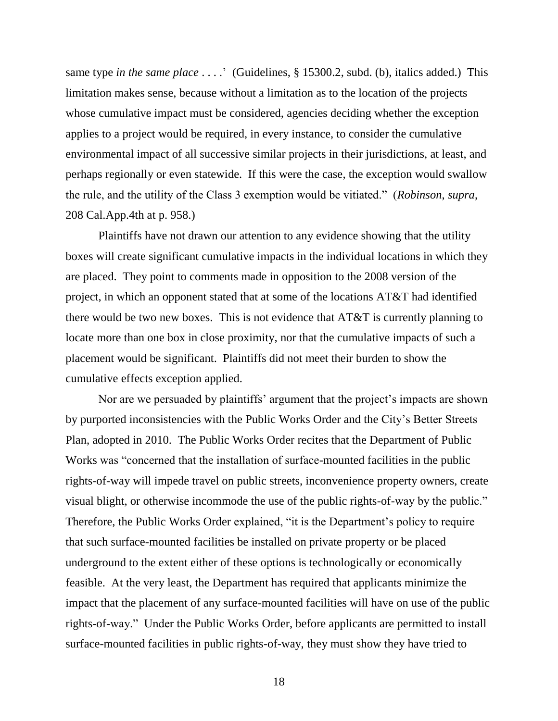same type *in the same place* . . . . ' (Guidelines, § 15300.2, subd. (b), italics added.) This limitation makes sense, because without a limitation as to the location of the projects whose cumulative impact must be considered, agencies deciding whether the exception applies to a project would be required, in every instance, to consider the cumulative environmental impact of all successive similar projects in their jurisdictions, at least, and perhaps regionally or even statewide. If this were the case, the exception would swallow the rule, and the utility of the Class 3 exemption would be vitiated." (*Robinson*, *supra*, 208 Cal.App.4th at p. 958.)

Plaintiffs have not drawn our attention to any evidence showing that the utility boxes will create significant cumulative impacts in the individual locations in which they are placed. They point to comments made in opposition to the 2008 version of the project, in which an opponent stated that at some of the locations AT&T had identified there would be two new boxes. This is not evidence that AT&T is currently planning to locate more than one box in close proximity, nor that the cumulative impacts of such a placement would be significant. Plaintiffs did not meet their burden to show the cumulative effects exception applied.

Nor are we persuaded by plaintiffs' argument that the project's impacts are shown by purported inconsistencies with the Public Works Order and the City's Better Streets Plan, adopted in 2010. The Public Works Order recites that the Department of Public Works was "concerned that the installation of surface-mounted facilities in the public rights-of-way will impede travel on public streets, inconvenience property owners, create visual blight, or otherwise incommode the use of the public rights-of-way by the public." Therefore, the Public Works Order explained, "it is the Department's policy to require that such surface-mounted facilities be installed on private property or be placed underground to the extent either of these options is technologically or economically feasible. At the very least, the Department has required that applicants minimize the impact that the placement of any surface-mounted facilities will have on use of the public rights-of-way." Under the Public Works Order, before applicants are permitted to install surface-mounted facilities in public rights-of-way, they must show they have tried to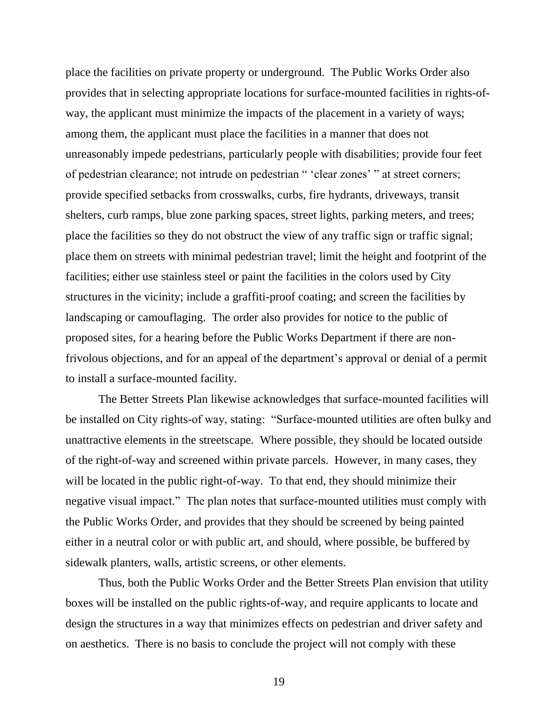place the facilities on private property or underground. The Public Works Order also provides that in selecting appropriate locations for surface-mounted facilities in rights-ofway, the applicant must minimize the impacts of the placement in a variety of ways; among them, the applicant must place the facilities in a manner that does not unreasonably impede pedestrians, particularly people with disabilities; provide four feet of pedestrian clearance; not intrude on pedestrian " 'clear zones' " at street corners; provide specified setbacks from crosswalks, curbs, fire hydrants, driveways, transit shelters, curb ramps, blue zone parking spaces, street lights, parking meters, and trees; place the facilities so they do not obstruct the view of any traffic sign or traffic signal; place them on streets with minimal pedestrian travel; limit the height and footprint of the facilities; either use stainless steel or paint the facilities in the colors used by City structures in the vicinity; include a graffiti-proof coating; and screen the facilities by landscaping or camouflaging. The order also provides for notice to the public of proposed sites, for a hearing before the Public Works Department if there are nonfrivolous objections, and for an appeal of the department's approval or denial of a permit to install a surface-mounted facility.

The Better Streets Plan likewise acknowledges that surface-mounted facilities will be installed on City rights-of way, stating: "Surface-mounted utilities are often bulky and unattractive elements in the streetscape. Where possible, they should be located outside of the right-of-way and screened within private parcels. However, in many cases, they will be located in the public right-of-way. To that end, they should minimize their negative visual impact." The plan notes that surface-mounted utilities must comply with the Public Works Order, and provides that they should be screened by being painted either in a neutral color or with public art, and should, where possible, be buffered by sidewalk planters, walls, artistic screens, or other elements.

Thus, both the Public Works Order and the Better Streets Plan envision that utility boxes will be installed on the public rights-of-way, and require applicants to locate and design the structures in a way that minimizes effects on pedestrian and driver safety and on aesthetics. There is no basis to conclude the project will not comply with these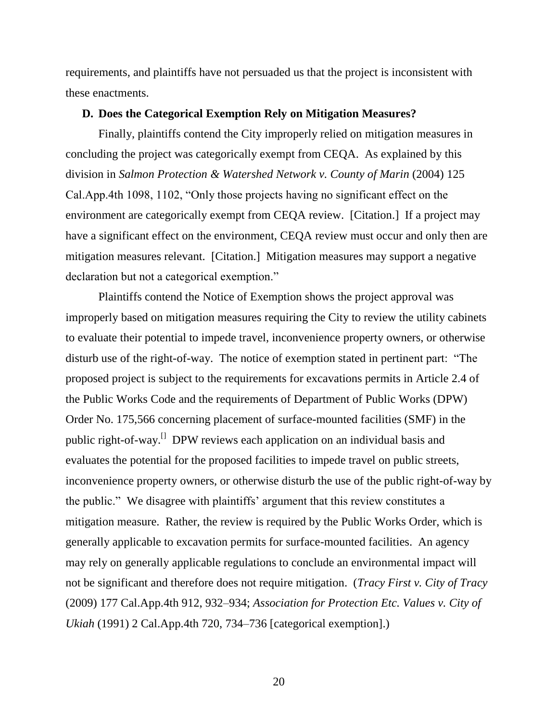requirements, and plaintiffs have not persuaded us that the project is inconsistent with these enactments.

#### **D. Does the Categorical Exemption Rely on Mitigation Measures?**

Finally, plaintiffs contend the City improperly relied on mitigation measures in concluding the project was categorically exempt from CEQA. As explained by this division in *Salmon Protection & Watershed Network v. County of Marin* (2004) 125 Cal.App.4th 1098, 1102, "Only those projects having no significant effect on the environment are categorically exempt from CEQA review. [Citation.] If a project may have a significant effect on the environment, CEQA review must occur and only then are mitigation measures relevant. [Citation.] Mitigation measures may support a negative declaration but not a categorical exemption."

Plaintiffs contend the Notice of Exemption shows the project approval was improperly based on mitigation measures requiring the City to review the utility cabinets to evaluate their potential to impede travel, inconvenience property owners, or otherwise disturb use of the right-of-way. The notice of exemption stated in pertinent part: "The proposed project is subject to the requirements for excavations permits in Article 2.4 of the Public Works Code and the requirements of Department of Public Works (DPW) Order No. 175,566 concerning placement of surface-mounted facilities (SMF) in the public right-of-way.<sup>[]</sup> DPW reviews each application on an individual basis and evaluates the potential for the proposed facilities to impede travel on public streets, inconvenience property owners, or otherwise disturb the use of the public right-of-way by the public." We disagree with plaintiffs' argument that this review constitutes a mitigation measure. Rather, the review is required by the Public Works Order, which is generally applicable to excavation permits for surface-mounted facilities. An agency may rely on generally applicable regulations to conclude an environmental impact will not be significant and therefore does not require mitigation. (*Tracy First v. City of Tracy* (2009) 177 Cal.App.4th 912, 932–934; *Association for Protection Etc. Values v. City of Ukiah* (1991) 2 Cal.App.4th 720, 734–736 [categorical exemption].)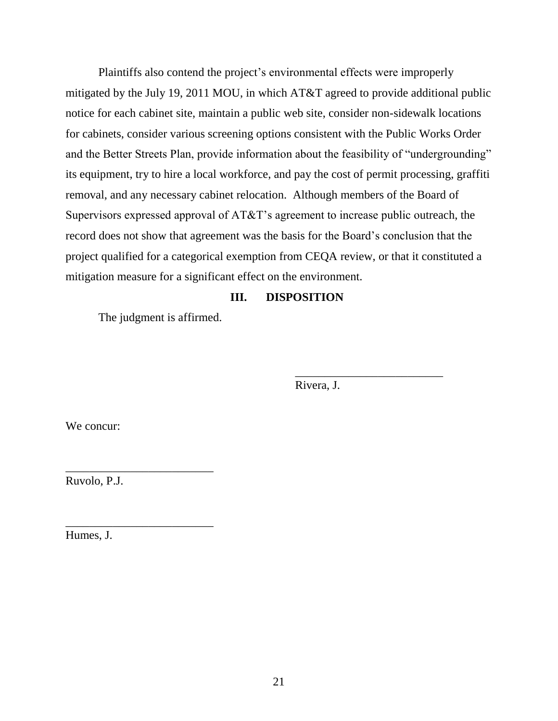Plaintiffs also contend the project's environmental effects were improperly mitigated by the July 19, 2011 MOU, in which AT&T agreed to provide additional public notice for each cabinet site, maintain a public web site, consider non-sidewalk locations for cabinets, consider various screening options consistent with the Public Works Order and the Better Streets Plan, provide information about the feasibility of "undergrounding" its equipment, try to hire a local workforce, and pay the cost of permit processing, graffiti removal, and any necessary cabinet relocation. Although members of the Board of Supervisors expressed approval of AT&T's agreement to increase public outreach, the record does not show that agreement was the basis for the Board's conclusion that the project qualified for a categorical exemption from CEQA review, or that it constituted a mitigation measure for a significant effect on the environment.

## **III. DISPOSITION**

The judgment is affirmed.

Rivera, J.

\_\_\_\_\_\_\_\_\_\_\_\_\_\_\_\_\_\_\_\_\_\_\_\_\_

We concur:

Ruvolo, P.J.

\_\_\_\_\_\_\_\_\_\_\_\_\_\_\_\_\_\_\_\_\_\_\_\_\_

\_\_\_\_\_\_\_\_\_\_\_\_\_\_\_\_\_\_\_\_\_\_\_\_\_

Humes, J.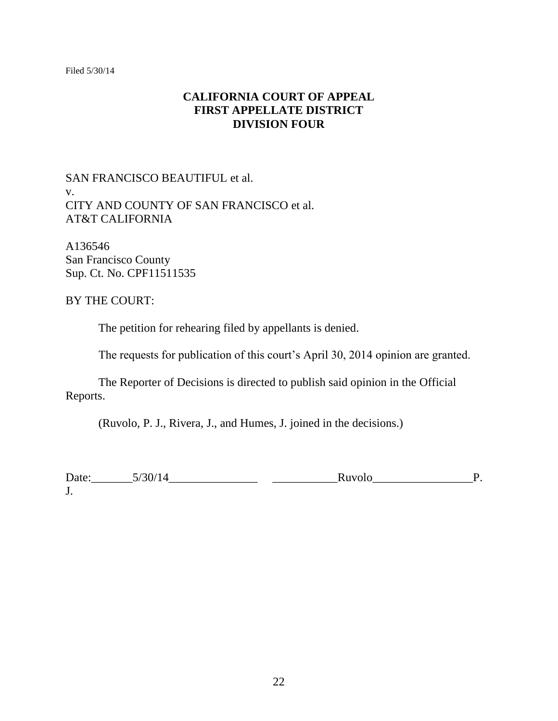Filed 5/30/14

## **CALIFORNIA COURT OF APPEAL FIRST APPELLATE DISTRICT DIVISION FOUR**

## SAN FRANCISCO BEAUTIFUL et al. v. CITY AND COUNTY OF SAN FRANCISCO et al. AT&T CALIFORNIA

A136546 San Francisco County Sup. Ct. No. CPF11511535

## BY THE COURT:

The petition for rehearing filed by appellants is denied.

The requests for publication of this court's April 30, 2014 opinion are granted.

The Reporter of Decisions is directed to publish said opinion in the Official Reports.

(Ruvolo, P. J., Rivera, J., and Humes, J. joined in the decisions.)

Date:\_\_\_\_\_\_\_5/30/14\_\_\_\_\_\_\_\_\_\_\_\_\_\_\_ \_\_\_\_\_\_\_\_\_\_\_Ruvolo\_\_\_\_\_\_\_\_\_\_\_\_\_\_\_\_\_P. J.